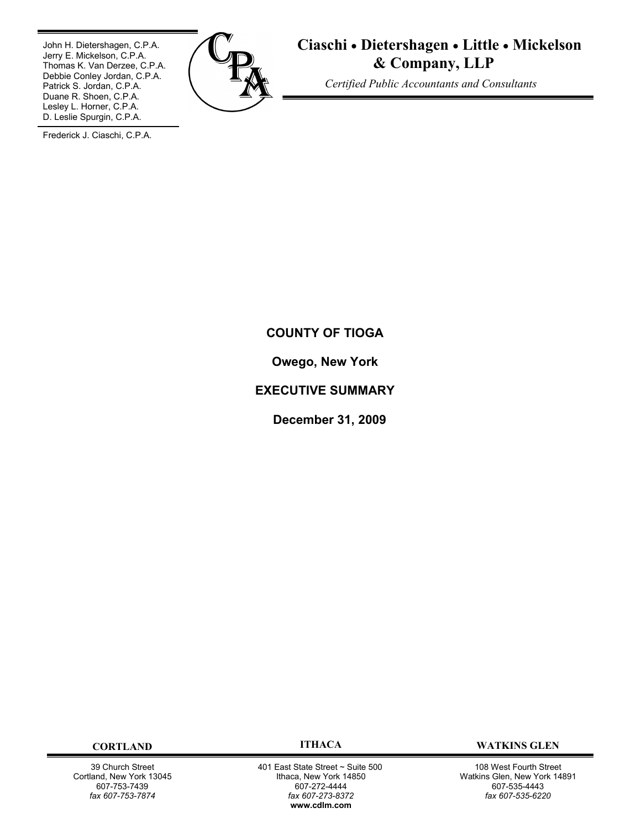John H. Dietershagen, C.P.A. Jerry E. Mickelson, C.P.A. Thomas K. Van Derzee, C.P.A. Debbie Conley Jordan, C.P.A. Patrick S. Jordan, C.P.A. Duane R. Shoen, C.P.A. Lesley L. Horner, C.P.A. D. Leslie Spurgin, C.P.A.



**Ciaschi Dietershagen Little Mickelson & Company, LLP**

 *Certified Public Accountants and Consultants*

Frederick J. Ciaschi, C.P.A.

# **COUNTY OF TIOGA**

**Owego, New York**

# **EXECUTIVE SUMMARY**

**December 31, 2009**

39 Church Street Cortland, New York 13045 607-753-7439 *fax 607-753-7874*

 401 East State Street ~ Suite 500 Ithaca, New York 14850 607-272-4444 *fax 607-273-8372* **w[ww.cdlm.com](www.cdlm.com)**

**CORTLAND ITHACA WATKINS GLEN**

108 West Fourth Street Watkins Glen, New York 14891 607-535-4443 *fax 607-535-6220*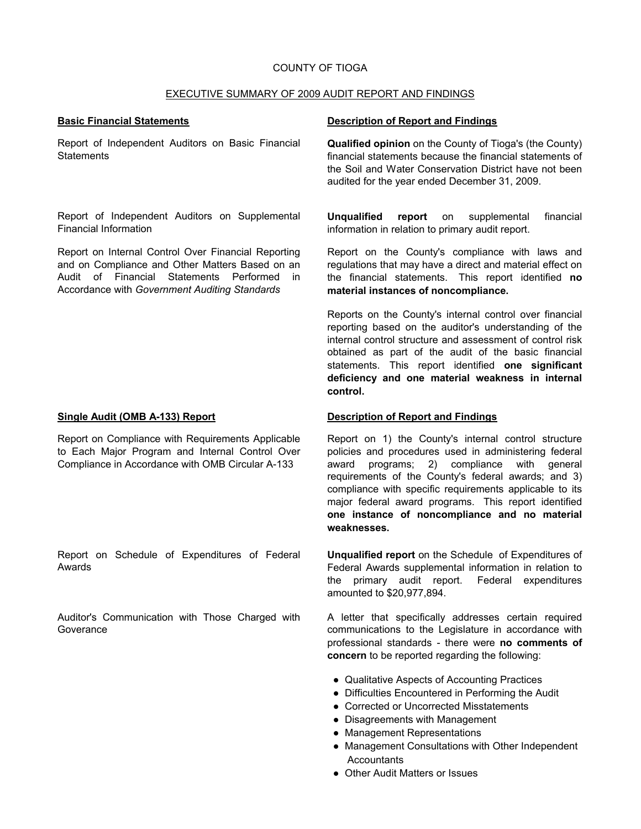#### COUNTY OF TIOGA

#### EXECUTIVE SUMMARY OF 2009 AUDIT REPORT AND FINDINGS

Report of Independent Auditors on Basic Financial **Statements** 

Report of Independent Auditors on Supplemental Financial Information

Report on Internal Control Over Financial Reporting and on Compliance and Other Matters Based on an Audit of Financial Statements Performed in Accordance with *Government Auditing Standards*

Report on Compliance with Requirements Applicable to Each Major Program and Internal Control Over Compliance in Accordance with OMB Circular A-133

Report on Schedule of Expenditures of Federal Awards

Auditor's Communication with Those Charged with Goverance

#### **Basic Financial Statements Description of Report and Findings**

**Qualified opinion** on the County of Tioga's (the County) financial statements because the financial statements of the Soil and Water Conservation District have not been audited for the year ended December 31, 2009.

**Unqualified report** on supplemental financial information in relation to primary audit report.

Report on the County's compliance with laws and regulations that may have a direct and material effect on the financial statements. This report identified **no material instances of noncompliance.**

Reports on the County's internal control over financial reporting based on the auditor's understanding of the internal control structure and assessment of control risk obtained as part of the audit of the basic financial statements. This report identified **one significant deficiency and one material weakness in internal control.**

#### **Single Audit (OMB A-133) Report Description of Report and Findings**

Report on 1) the County's internal control structure policies and procedures used in administering federal award programs; 2) compliance with general requirements of the County's federal awards; and 3) compliance with specific requirements applicable to its major federal award programs. This report identified **one instance of noncompliance and no material weaknesses.**

**Unqualified report** on the Schedule of Expenditures of Federal Awards supplemental information in relation to the primary audit report. Federal expenditures amounted to \$20,977,894.

A letter that specifically addresses certain required communications to the Legislature in accordance with professional standards - there were **no comments of concern** to be reported regarding the following:

- Qualitative Aspects of Accounting Practices
- Difficulties Encountered in Performing the Audit
- Corrected or Uncorrected Misstatements
- Disagreements with Management
- Management Representations
- Management Consultations with Other Independent **Accountants**
- Other Audit Matters or Issues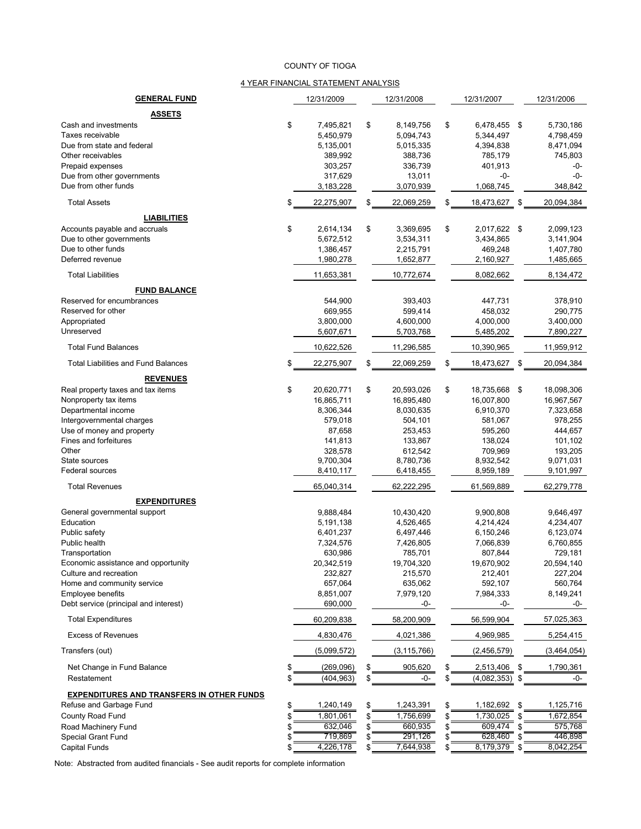#### COUNTY OF TIOGA

#### 4 YEAR FINANCIAL STATEMENT ANALYSIS

| <b>GENERAL FUND</b>                              | 12/31/2009             | 12/31/2008           | 12/31/2007           | 12/31/2006             |
|--------------------------------------------------|------------------------|----------------------|----------------------|------------------------|
| <b>ASSETS</b>                                    |                        |                      |                      |                        |
| Cash and investments                             | \$<br>7,495,821        | \$<br>8,149,756      | \$<br>6,478,455 \$   | 5,730,186              |
| Taxes receivable                                 | 5,450,979              | 5,094,743            | 5,344,497            | 4,798,459              |
| Due from state and federal                       | 5,135,001              | 5,015,335            | 4,394,838            | 8,471,094              |
| Other receivables                                | 389,992                | 388,736              | 785,179              | 745,803                |
| Prepaid expenses                                 | 303,257                | 336,739              | 401,913              | -0-                    |
| Due from other governments                       | 317,629                | 13,011               | -0-                  | $-0-$                  |
| Due from other funds                             | 3,183,228              | 3,070,939            | 1,068,745            | 348,842                |
| <b>Total Assets</b>                              | \$<br>22,275,907       | \$<br>22,069,259     | \$<br>18,473,627 \$  | 20,094,384             |
| <b>LIABILITIES</b>                               |                        |                      |                      |                        |
| Accounts payable and accruals                    | \$<br>2,614,134        | \$<br>3,369,695      | \$<br>2,017,622 \$   | 2,099,123              |
| Due to other governments                         | 5,672,512              | 3,534,311            | 3,434,865            | 3,141,904              |
| Due to other funds                               | 1,386,457              | 2,215,791            | 469,248              | 1,407,780              |
| Deferred revenue                                 | 1,980,278              | 1,652,877            | 2,160,927            | 1,485,665              |
| <b>Total Liabilities</b>                         | 11,653,381             | 10,772,674           | 8,082,662            | 8,134,472              |
| <b>FUND BALANCE</b>                              |                        |                      |                      |                        |
| Reserved for encumbrances                        | 544,900                | 393,403              | 447,731              | 378,910                |
| Reserved for other                               | 669,955                | 599,414              | 458,032              | 290,775                |
| Appropriated                                     | 3,800,000              | 4,600,000            | 4,000,000            | 3,400,000              |
| Unreserved                                       | 5,607,671              | 5,703,768            | 5,485,202            | 7,890,227              |
| <b>Total Fund Balances</b>                       | 10,622,526             | 11,296,585           | 10,390,965           | 11,959,912             |
| <b>Total Liabilities and Fund Balances</b>       | \$<br>22,275,907       | \$<br>22,069,259     | \$<br>18,473,627     | \$<br>20,094,384       |
| <b>REVENUES</b>                                  |                        |                      |                      |                        |
| Real property taxes and tax items                | \$<br>20,620,771       | \$<br>20,593,026     | \$<br>18,735,668 \$  | 18,098,306             |
| Nonproperty tax items                            | 16,865,711             | 16,895,480           | 16,007,800           | 16,967,567             |
| Departmental income                              | 8,306,344              | 8,030,635            | 6,910,370            | 7,323,658              |
| Intergovernmental charges                        | 579,018                | 504,101              | 581,067              | 978,255                |
| Use of money and property                        | 87,658                 | 253,453              | 595,260              | 444,657                |
| Fines and forfeitures                            | 141,813                | 133,867              | 138,024              | 101,102                |
| Other                                            | 328,578                | 612,542              | 709,969              | 193,205                |
| State sources                                    | 9,700,304              | 8,780,736            | 8,932,542            | 9,071,031              |
| Federal sources                                  | 8,410,117              | 6,418,455            | 8,959,189            | 9,101,997              |
| <b>Total Revenues</b>                            | 65,040,314             | 62,222,295           | 61,569,889           | 62,279,778             |
| <b>EXPENDITURES</b>                              |                        |                      |                      |                        |
| General governmental support                     | 9,888,484              | 10,430,420           | 9,900,808            | 9,646,497              |
| Education                                        | 5,191,138              | 4,526,465            | 4,214,424            | 4,234,407              |
| Public safety<br>Public health                   | 6,401,237<br>7,324,576 | 6,497,446            | 6,150,246            | 6,123,074<br>6,760,855 |
| Transportation                                   | 630,986                | 7,426,805<br>785,701 | 7,066,839<br>807,844 | 729,181                |
| Economic assistance and opportunity              | 20,342,519             | 19,704,320           | 19,670,902           | 20,594,140             |
| Culture and recreation                           | 232,827                | 215,570              | 212,401              | 227,204                |
| Home and community service                       | 657,064                | 635,062              | 592,107              | 560,764                |
| <b>Employee benefits</b>                         | 8,851,007              | 7,979,120            | 7,984,333            | 8,149,241              |
| Debt service (principal and interest)            | 690,000                | -0-                  | -0-                  | -0-                    |
| <b>Total Expenditures</b>                        | 60,209,838             | 58,200,909           | 56,599,904           | 57,025,363             |
| <b>Excess of Revenues</b>                        | 4,830,476              | 4,021,386            | 4,969,985            | 5,254,415              |
| Transfers (out)                                  | (5,099,572)            | (3, 115, 766)        | (2,456,579)          | (3,464,054)            |
| Net Change in Fund Balance                       | \$<br>(269,096)        | \$<br>905,620        | \$<br>2,513,406      | \$<br>1,790,361        |
| Restatement                                      | \$<br>(404, 963)       | \$<br>-0-            | \$<br>(4,082,353)    | -0-                    |
| <b>EXPENDITURES AND TRANSFERS IN OTHER FUNDS</b> |                        |                      |                      |                        |
| Refuse and Garbage Fund                          | \$<br>1,240,149        | \$<br>1,243,391      | 1,182,692            | \$<br>1,125,716        |
| County Road Fund                                 | \$<br>1,801,061        | \$<br>1,756,699      | \$<br>1,730,025      | \$<br>1,672,854        |
| Road Machinery Fund                              | \$<br>632,046          | \$<br>660,935        | 609,474              | \$<br>575,768          |
| <b>Special Grant Fund</b>                        | \$<br>719,869          | 291,126              | 628,460              | 446,898                |
| Capital Funds                                    | \$<br>4,226,178        | 7,644,938            | 8,179,379            | \$<br>8,042,254        |

Note: Abstracted from audited financials - See audit reports for complete information